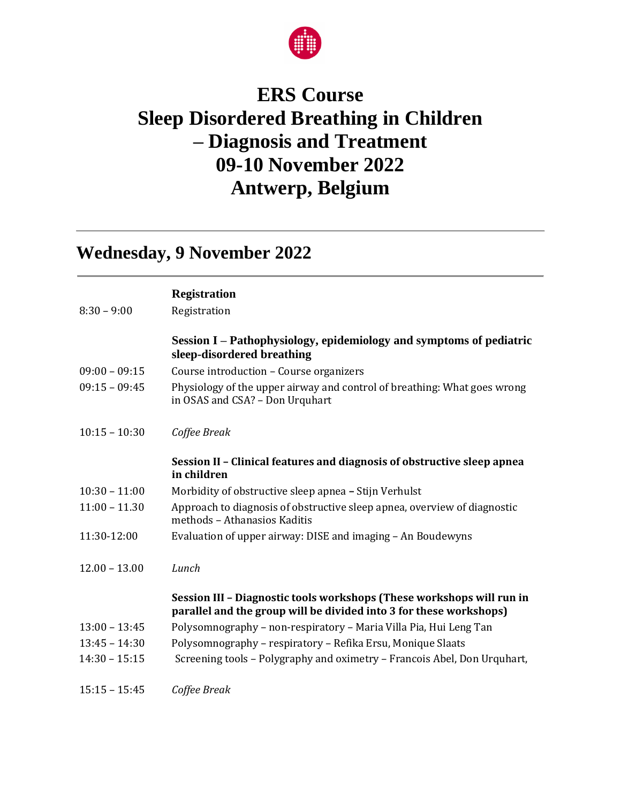

## **ERS Course Sleep Disordered Breathing in Children – Diagnosis and Treatment 09-10 November 2022 Antwerp, Belgium**

## **Wednesday, 9 November 2022**

| <b>Registration</b> |  |
|---------------------|--|
|---------------------|--|

8:30 – 9:00 Registration

|                 | Session I – Pathophysiology, epidemiology and symptoms of pediatric<br>sleep-disordered breathing                                           |
|-----------------|---------------------------------------------------------------------------------------------------------------------------------------------|
| $09:00 - 09:15$ | Course introduction - Course organizers                                                                                                     |
| $09:15 - 09:45$ | Physiology of the upper airway and control of breathing: What goes wrong<br>in OSAS and CSA? - Don Urquhart                                 |
| $10:15 - 10:30$ | Coffee Break                                                                                                                                |
|                 | Session II - Clinical features and diagnosis of obstructive sleep apnea<br>in children                                                      |
| $10:30 - 11:00$ | Morbidity of obstructive sleep apnea - Stijn Verhulst                                                                                       |
| $11:00 - 11.30$ | Approach to diagnosis of obstructive sleep apnea, overview of diagnostic<br>methods - Athanasios Kaditis                                    |
| 11:30-12:00     | Evaluation of upper airway: DISE and imaging - An Boudewyns                                                                                 |
| $12.00 - 13.00$ | Lunch                                                                                                                                       |
|                 | Session III - Diagnostic tools workshops (These workshops will run in<br>parallel and the group will be divided into 3 for these workshops) |
| $13:00 - 13:45$ | Polysomnography - non-respiratory - Maria Villa Pia, Hui Leng Tan                                                                           |
| $13:45 - 14:30$ | Polysomnography - respiratory - Refika Ersu, Monique Slaats                                                                                 |
| $14:30 - 15:15$ | Screening tools - Polygraphy and oximetry - Francois Abel, Don Urquhart,                                                                    |
| $15:15 - 15:45$ | Coffee Break                                                                                                                                |